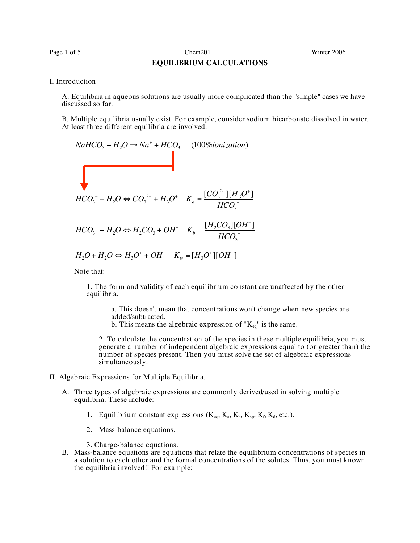Page 1 of 5 Chem201 Chem201 Winter 2006

## **EQUILIBRIUM CALCULATIONS**

## I. Introduction

A. Equilibria in aqueous solutions are usually more complicated than the "simple" cases we have discussed so far.

B. Multiple equilibria usually exist. For example, consider sodium bicarbonate dissolved in water. At least three different equilibria are involved:

$$
NaHCO_3 + H_2O \rightarrow Na^+ + HCO_3^- \quad (100\% ionication)
$$
  

$$
HCO_3^- + H_2O \Leftrightarrow CO_3^{2-} + H_3O^+ \quad K_a = \frac{[CO_3^{2-}][H_3O^+]}{HCO_3^-}
$$
  

$$
HCO_3^- + H_2O \Leftrightarrow H_2CO_3 + OH^- \quad K_b = \frac{[H_2CO_3][OH^-]}{HCO_3^-}
$$
  

$$
H_2O + H_2O \Leftrightarrow H_3O^+ + OH^- \quad K_w = [H_3O^+][OH^-]
$$

Note that:

1. The form and validity of each equilibrium constant are unaffected by the other equilibria.

a. This doesn't mean that concentrations won't change when new species are added/subtracted.

b. This means the algebraic expression of " $K_{eq}$ " is the same.

2. To calculate the concentration of the species in these multiple equilibria, you must generate a number of independent algebraic expressions equal to (or greater than) the number of species present. Then you must solve the set of algebraic expressions simultaneously.

- II. Algebraic Expressions for Multiple Equilibria.
	- A. Three types of algebraic expressions are commonly derived/used in solving multiple equilibria. These include:
		- 1. Equilibrium constant expressions  $(K_{eq}, K_a, K_b, K_{sp}, K_f, K_d, etc.).$
		- 2. Mass-balance equations.

3. Charge-balance equations.

B. Mass-balance equations are equations that relate the equilibrium concentrations of species in a solution to each other and the formal concentrations of the solutes. Thus, you must known the equilibria involved!! For example: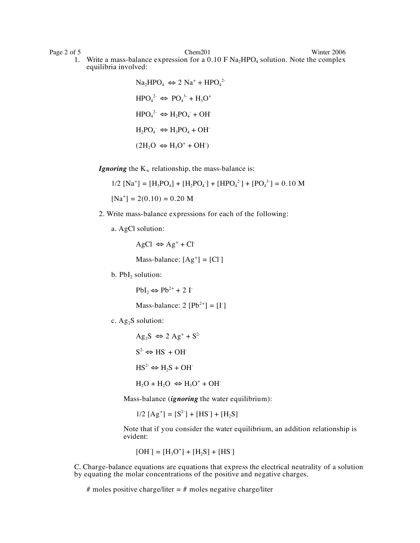Page 2 of 5 Chem201 Chem201 Winter 2006 1. Write a mass-balance expression for a  $0.10 \text{ F Na}_2 \text{HPO}_4$  solution. Note the complex equilibria involved:

> $\text{Na}_2\text{HPO}_4 \Leftrightarrow 2 \text{Na}^+ + \text{HPO}_4^2$  $HPO<sub>4</sub><sup>2-</sup> \Leftrightarrow PO<sub>4</sub><sup>3</sup> + H<sub>3</sub>O<sup>+</sup>$  $HPO<sub>4</sub><sup>2-</sup> \Leftrightarrow H<sub>2</sub>PO<sub>4</sub> + OH<sup>-</sup>$  $H_2PO_4 \Leftrightarrow H_3PO_4 + OH$  $(2H_2O \Leftrightarrow H_3O^+ + OH^-)$

*Ignoring* the  $K_w$  relationship, the mass-balance is:

 $1/2$   $[Na^+] = [H_3PO_4] + [H_2PO_4] + [HPO_4^2] + [PO_4^3] = 0.10 M$  $[Na^+] = 2(0.10) = 0.20 M$ 

- 2. Write mass-balance expressions for each of the following:
	- a. AgCl solution:

 $AgCl \Leftrightarrow Ag^+ + Cl^-$ 

Mass-balance:  $[Ag^+] = [Cl^-]$ 

b.  $PbI<sub>2</sub>$  solution:

 $PbI_2 \Leftrightarrow Pb^{2+} + 2I$ 

Mass-balance:  $2 [Pb^{2+}] = [I^{\dagger}]$ 

c.  $Ag_2S$  solution:

 $\text{Ag}_2\text{S} \Leftrightarrow 2 \text{ Ag}^+ + \text{S}^2$  $S^2 \Leftrightarrow HS^+ + OH^ HS^{2-} \Leftrightarrow H_2S + OH^ H_2O + H_2O \Leftrightarrow H_3O^+ + OH^-$ 

Mass-balance (*ignoring* the water equilibrium):

 $1/2$   $[Ag^+] = [S^2] + [HS^-] + [H_2S]$ 

Note that if you consider the water equilibrium, an addition relationship is evident:

$$
[OH^{-}] = [H_3O^{+}] + [H_2S] + [HS^{-}]
$$

C. Charge-balance equations are equations that express the electrical neutrality of a solution by equating the molar concentrations of the positive and negative charges.

# moles positive charge/liter  $=$  # moles negative charge/liter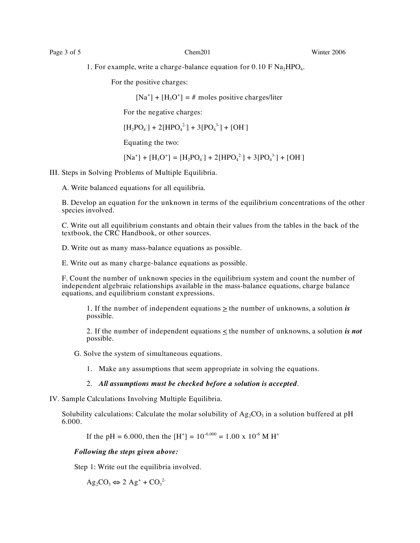Page 3 of 5 Chem201 Chem201 Winter 2006

1. For example, write a charge-balance equation for  $0.10 \text{ F Na}_2\text{HPO}_4$ .

For the positive charges:

 $[Na^+] + [H<sub>3</sub>O<sup>+</sup>] = #$  moles positive charges/liter

For the negative charges:

 $[H_2PO_4^-] + 2[HPO_4^{2}^-] + 3[PO_4^{3}^-] + [OH^-]$ 

Equating the two:

 $[Na^+] + [H_3O^+] = [H_2PO_4^-] + 2[HPO_4^{2}^-] + 3[PO_4^{3}^-] + [OH^+]$ 

III. Steps in Solving Problems of Multiple Equilibria.

A. Write balanced equations for all equilibria.

B. Develop an equation for the unknown in terms of the equilibrium concentrations of the other species involved.

C. Write out all equilibrium constants and obtain their values from the tables in the back of the textbook, the CRC Handbook, or other sources.

D. Write out as many mass-balance equations as possible.

E. Write out as many charge-balance equations as possible.

F. Count the number of unknown species in the equilibrium system and count the number of independent algebraic relationships available in the mass-balance equations, charge balance equations, and equilibrium constant expressions.

1. If the number of independent equations  $\geq$  the number of unknowns, a solution *is* possible.

2. If the number of independent equations  $\leq$  the number of unknowns, a solution *is not* possible.

G. Solve the system of simultaneous equations.

1. Make any assumptions that seem appropriate in solving the equations.

## 2. *All assumptions must be checked before a solution is accepted*.

IV. Sample Calculations Involving Multiple Equilibria.

Solubility calculations: Calculate the molar solubility of  $Ag_2CO_3$  in a solution buffered at pH 6.000.

If the pH = 6.000, then the [H<sup>+</sup>] =  $10^{-6.000}$  = 1.00 x  $10^{-6}$  M H<sup>+</sup>

*Following the steps given above:*

Step 1: Write out the equilibria involved.

 $\text{Ag}_2\text{CO}_3 \Leftrightarrow 2 \text{ Ag}^+ + \text{CO}_3^2$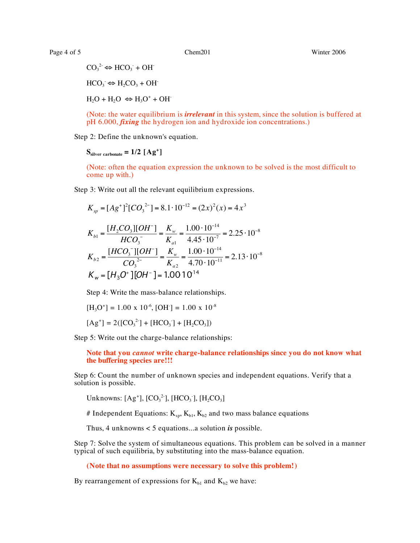Page 4 of 5 Chem201 Chem201 Winter 2006

 $CO_3^2 \Leftrightarrow HCO_3 + OH^ HCO<sub>3</sub> \Leftrightarrow H<sub>2</sub>CO<sub>3</sub> + OH<sub>3</sub>$  $H_2O + H_2O \Leftrightarrow H_3O^+ + OH^-$ 

(Note: the water equilibrium is *irrelevant* in this system, since the solution is buffered at pH 6.000, *fixing* the hydrogen ion and hydroxide ion concentrations.)

Step 2: Define the unknown's equation.

 $S<sub>silver carbonate</sub> = 1/2 [Ag<sup>+</sup>]$ 

(Note: often the equation expression the unknown to be solved is the most difficult to come up with.)

Step 3: Write out all the relevant equilibrium expressions.

$$
K_{sp} = [Ag^{+}]^{2}[CO_{3}^{2-}] = 8.1 \cdot 10^{-12} = (2x)^{2}(x) = 4x^{3}
$$
  
\n
$$
K_{b1} = \frac{[H_{2}CO_{3}][OH^{-}]}{HCO_{3}^{-}} = \frac{K_{w}}{K_{a1}} = \frac{1.00 \cdot 10^{-14}}{4.45 \cdot 10^{-7}} = 2.25 \cdot 10^{-8}
$$
  
\n
$$
K_{b2} = \frac{[HCO_{3}^{-}][OH^{-}]}{CO_{3}^{2-}} = \frac{K_{w}}{K_{a2}} = \frac{1.00 \cdot 10^{-14}}{4.70 \cdot 10^{-11}} = 2.13 \cdot 10^{-8}
$$
  
\n
$$
K_{w} = [H_{3}O^{+}][OH^{-}] = 1.0010^{14}
$$

Step 4: Write the mass-balance relationships.

$$
[H_3O^+] = 1.00 \times 10^{-6}, [OH^-] = 1.00 \times 10^{-8}
$$

$$
[Ag^+] = 2([CO_3^{2}] + [HCO_3] + [H_2CO_3])
$$

Step 5: Write out the charge-balance relationships:

**Note that you** *cannot* **write charge-balance relationships since you do not know what the buffering species are!!!**

Step 6: Count the number of unknown species and independent equations. Verify that a solution is possible.

Unknowns:  $[Ag^{\dagger}]$ , [CO<sub>3</sub><sup>2</sup>], [HCO<sub>3</sub>], [H<sub>2</sub>CO<sub>3</sub>]

# Independent Equations:  $K_{sp}$ ,  $K_{b1}$ ,  $K_{b2}$  and two mass balance equations

Thus, 4 unknowns < 5 equations...a solution *is* possible.

Step 7: Solve the system of simultaneous equations. This problem can be solved in a manner typical of such equilibria, by substituting into the mass-balance equation.

**(Note that no assumptions were necessary to solve this problem!)**

By rearrangement of expressions for  $K_{b1}$  and  $K_{b2}$  we have: